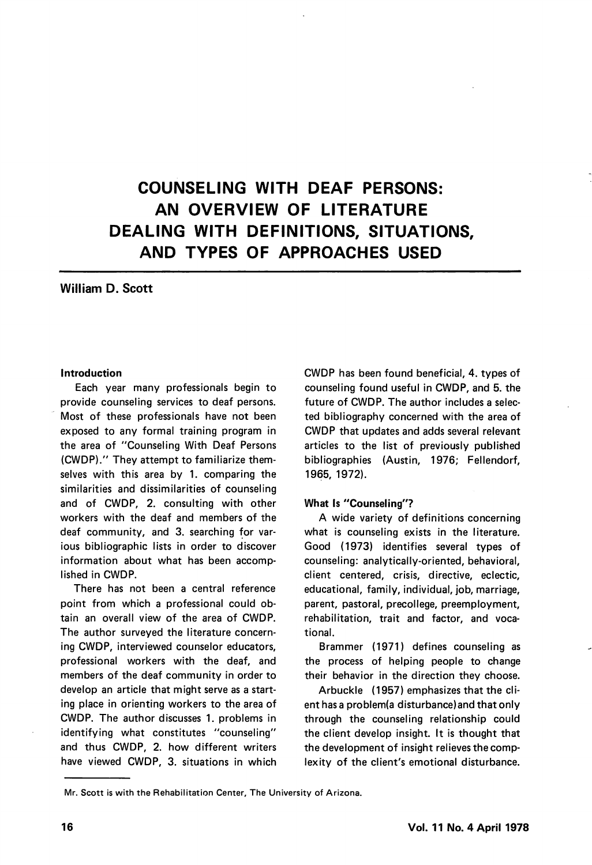# COUNSELING WITH DEAF PERSONS: AN OVERVIEW OF LITERATURE DEALING WITH DEFINITIONS, SITUATIONS, AND TYPES OF APPROACHES USED

# William D. Scott

#### Introduction

Each year many professionals begin to provide counseling services to deaf persons. Most of these professionals have not been exposed to any formal training program in the area of "Counseling With Deaf Persons (CWDP)." They attempt to familiarize them selves with this area by 1. comparing the similarities and dissimilarities of counseling and of CWDP, 2. consulting with other workers with the deaf and members of the deaf community, and 3. searching for var ious bibliographic lists in order to discover information about what has been accomp lished in CWDP.

There has not been a central reference point from which a professional could ob tain an overall view of the area of CWDP. The author surveyed the literature concern ing CWDP, interviewed counselor educators, professional workers with the deaf, and members of the deaf community in order to develop an article that might serve as a start ing place in orienting workers to the area of CWDP. The author discusses 1. problems in identifying what constitutes "counseling" and thus CWDP, 2. how different writers have viewed CWDP, 3. situations in which

CWDP has been found beneficial, 4. types of counseling found useful in CWDP, and 5. the future of CWDP. The author includes a selec ted bibliography concerned with the area of CWDP that updates and adds several relevant articles to the list of previously published bibliographies (Austin, 1976; Fellendorf, 1965, 1972).

#### What Is "Counseling"?

A wide variety of definitions concerning what is counseling exists in the literature. Good (1973) identifies several types of counseling: analytically-oriented, behavioral, client centered, crisis, directive, eclectic, educational, family, individual, job, marriage, parent, pastoral, precollege, preemployment, rehabilitation, trait and factor, and voca tional.

Brammer (1971) defines counseling as the process of helping people to change their behavior in the direction they choose.

Arbuckle (1957) emphasizes that the cli ent has a problem(a disturbance)and that only through the counseling relationship could the client develop insight. It is thought that the development of insight relieves the comp lexity of the client's emotional disturbance.

Mr. Scott is with the Rehabilitation Center, The University of Arizona.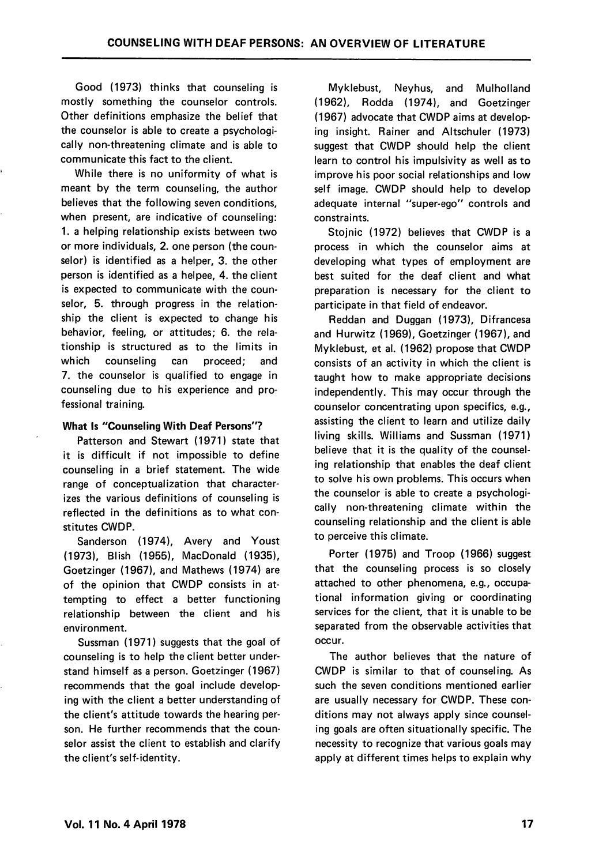Good (1973) thinks that counseling is mostly something the counselor controls. Other definitions emphasize the belief that the counselor is able to create a psychologi cally non-threatening climate and is able to communicate this fact to the client.

While there is no uniformity of what is meant by the term counseling, the author believes that the following seven conditions, when present, are indicative of counseling: 1. a helping relationship exists between two or more individuals, 2. one person (the coun selor) is identified as a helper, 3. the other person is identified as a helpee, 4. the client is expected to communicate with the coun selor. 5. through progress in the relationship the client is expected to change his behavior, feeling, or attitudes; 6. the rela tionship is structured as to the limits in which counseling can proceed; and 7. the counselor is qualified to engage in counseling due to his experience and pro fessional training.

#### What Is "Counseling With Deaf Persons"?

Patterson and Stewart (1971) state that it is difficult if not impossible to define counseling in a brief statement. The wide range of conceptualization that character izes the various definitions of counseling is reflected in the definitions as to what con stitutes CWDP.

Sanderson (1974), Avery and Youst (1973), Blish (1955), MacDonald (1935), Goetzinger (1967), and Mathews (1974) are of the opinion that CWDP consists in at tempting to effect a better functioning relationship between the client and his environment.

Sussman (1971) suggests that the goal of counseling is to help the client better under stand himself as a person. Goetzinger (1967) recommends that the goal include develop ing with the client a better understanding of the client's attitude towards the hearing per son. He further recommends that the coun selor assist the client to establish and clarify the client's self-identity.

Myklebust, Neyhus, and Mulholland (1962), Rodda (1974), and Goetzinger (1967) advocate that CWDP aims at develop ing insight. Rainer and Altschuler (1973) suggest that CWDP should help the client learn to control his impulsivity as well as to improve his poor social relationships and low self image. CWDP should help to develop adequate internal "super-ego" controls and constraints.

Stoinic (1972) believes that CWDP is a process in which the counselor aims at developing what types of employment are best suited for the deaf client and what preparation is necessary for the client to participate in that field of endeavor.

Reddan and Duggan (1973), Difrancesa and Hurwitz (1969), Goetzinger (1967), and Myklebust, et al. (1962) propose that CWDP consists of an activity in which the client is taught how to make appropriate decisions independently. This may occur through the counselor concentrating upon specifics, e.g., assisting the client to learn and utilize daily living skills. Williams and Sussman (1971) believe that it is the quality of the counseling relationship that enables the deaf client to solve his own problems. This occurs when the counselor is able to create a psychologi cally non-threatening climate within the counseling relationship and the client is able to perceive this climate.

Porter (1975) and Troop (1966) suggest that the counseling process is so closely attached to other phenomena, e.g., occupa tional information giving or coordinating services for the client, that it is unable to be separated from the observable activities that occur.

The author believes that the nature of CWDP is similar to that of counseling. As such the seven conditions mentioned earlier are usually necessary for CWDP. These con ditions may not always apply since counsel ing goals are often situationally specific. The necessity to recognize that various goals may apply at different times helps to explain why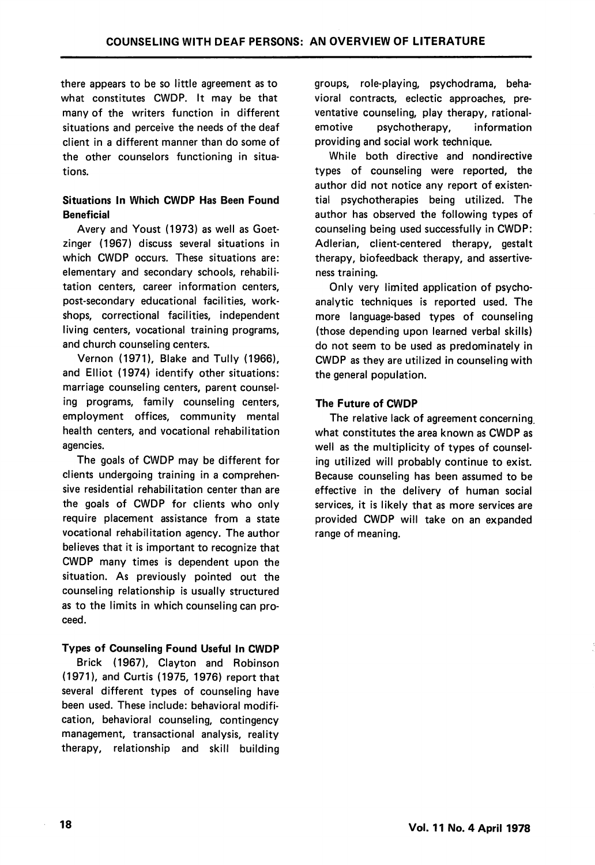there appears to be so little agreement as to what constitutes CWDP. It may be that many of the writers function in different situations and perceive the needs of the deaf client in a different manner than do some of the other counselors functioning in situa tions.

## Situations In Which CWDP Has Been Found **Beneficial**

Avery and Youst (1973) as well as Goetzinger (1967) discuss several situations in which CWDP occurs. These situations are: elementary and secondary schools, rehabili tation centers, career information centers, post-secondary educational facilities, work shops, correctional facilities, independent living centers, vocational training programs, and church counseling centers.

Vernon (1971), Blake and Tully (1966), and Elliot (1974) identify other situations: marriage counseling centers, parent counsel ing programs, family counseling centers, employment offices, community mental health centers, and vocational rehabilitation agencies.

The goals of CWDP may be different for clients undergoing training in a comprehen sive residential rehabilitation center than are the goals of CWDP for clients who only require placement assistance from a state vocational rehabilitation agency. The author believes that it is important to recognize that CWDP many times is dependent upon the situation. As previously pointed out the counseling relationship is usually structured as to the limits in which counseling can pro ceed.

## Types of Counseling Found Useful In CWDP

Brick (1967), Clayton and Robinson (1971), and Curtis (1975, 1976) report that several different types of counseling have been used. These include: behavioral modifi cation, behavioral counseling, contingency management, transactional analysis, reality therapy, relationship and skill building

groups, role-playing, psychodrama, beha vioral contracts, eclectic approaches, preventative counseling, play therapy, rationalemotive psychotherapy, information providing and social work technique.

While both directive and nandirective types of counseling were reported, the author did not notice any report of existen tial psychotherapies being utilized. The author has observed the following types of counseling being used successfully in CWDP: Adlerian, client-centered therapy, gestalt therapy, biofeedback therapy, and assertiveness training.

Only very limited application of psycho analytic techniques is reported used. The more language-based types of counseling (those depending upon learned verbal skills) do not seem to be used as predominately in CWDP as they are utilized in counseling with the general population.

## The Future of CWDP

The relative lack of agreement concerning, what constitutes the area known as CWDP as well as the multiplicity of types of counsel ing utilized will probably continue to exist. Because counseling has been assumed to be effective in the delivery of human social services, it is likely that as more services are provided CWDP will take on an expanded range of meaning.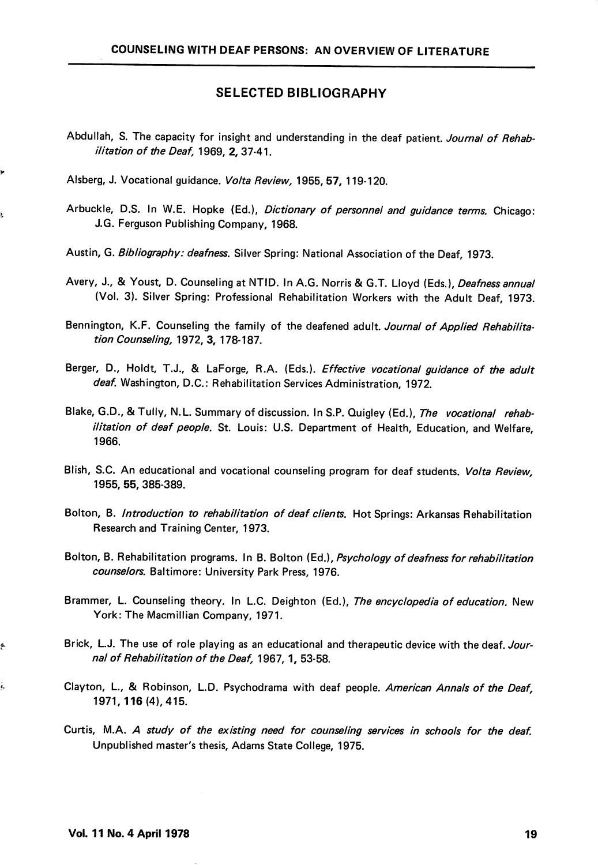#### SELECTED BIBLIOGRAPHY

- Abdullah, S. The capacity for insight and understanding in the deaf patient. Journal of Rehabilitation of the Deaf, 1969, 2, 37-41.
- Alsberg, J. Vocational guidance. Volta Review, 1955, 57, 119-120.
- Arbuckle, D.S. In W.E. Hopke (Ed.), Dictionary of personnel and guidance terms. Chicago: J.G. Ferguson Publishing Company, 1968.
- Austin, G. Bibliography: deafness. Silver Spring: National Association of the Deaf, 1973.
- Avery, J., & Youst, D. Counseling at NTID. In A.G. Norris & G.T. Lloyd (Eds.), *Deafness annual* (Vol. 3). Silver Spring: Professional Rehabilitation Workers with the Adult Deaf, 1973.
- Bennington, K.F. Counseling the family of the deafened adult. Journal of Applied Rehabilitation Counseling, 1972, 3, 178-187.
- Berger, D., Holdt, T.J., & LaForge, R.A. (Eds.). *Effective vocational guidance of the adult* deaf. Washington, D.C.: Rehabilitation Services Administration, 1972.
- Blake, G.D., & Tully, N.L. Summary of discussion. In S.P. Quigley (Ed.), The vocational rehabilitation of deaf people. St. Louis: U.S. Department of Health, Education, and Welfare, 1966.
- Blish, S.C. An educational and vocational counseling program for deaf students. Volta Review, 1955, 55, 385-389.
- Bolton, B. Introduction to rehabilitation of deaf clients. Hot Springs: Arkansas Rehabilitation Research and Training Center, 1973.
- Bolton, B. Rehabilitation programs. In B. Bolton (Ed.), Psychology of deafness for rehabilitation counselors. Baltimore: University Park Press, 1976.
- Brammer, L. Counseling theory. In L.C. Deighton (Ed.), The encyclopedia of education. New York: The Macmillian Company, 1971.
- Brick, L.J. The use of role playing as an educational and therapeutic device with the deaf. Journal of Rehabilitation of the Deaf, 1967, 1, 53-58.
- Clayton, L., & Robinson, L.D. Psychodrama with deaf people. American Annals of the Deaf, 1971,116 (4), 415.
- Curtis, M.A. A study of the existing need for counseling services in schools for the deaf. Unpublished master's thesis, Adams State College, 1975.

ę.

į,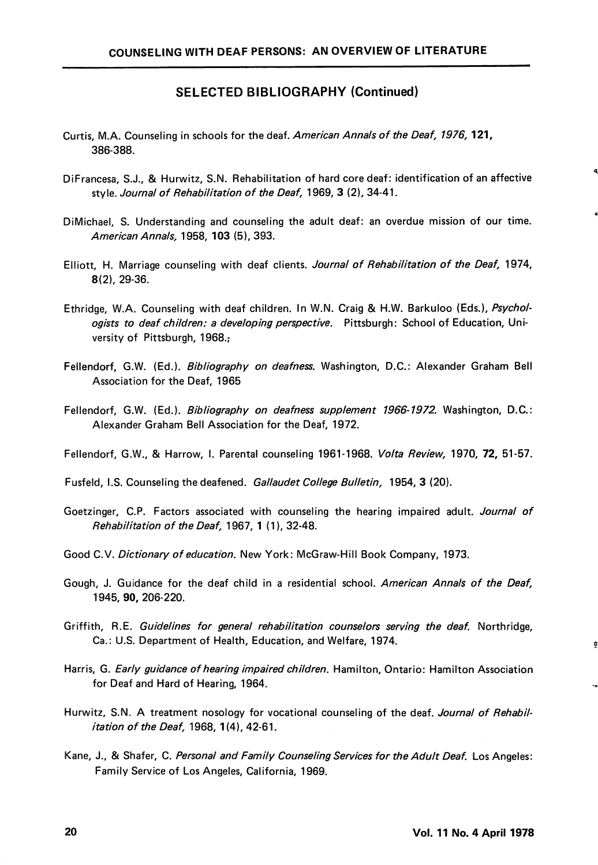#### SELECTED BIBLIOGRAPHY (Continued)

- Curtis, M.A. Counseling in schools for the deaf. American Annals of the Deaf, 1976, 121, 386-388.
- DiFrancesa, S.J., & Hurwitz, S.N. Rehabilitation of hard core deaf: identification of an affective style. Journal of Rehabilitation of the Deaf, 1969, 3 (2), 34-41.
- DiMichael, S. Understanding and counseling the adult deaf: an overdue mission of our time. American Annals, 1958, 103 (5), 393.
- Elliott, H. Marriage counseling with deaf clients. Journal of Rehabilitation of the Deaf, 1974, 8(2), 29-36.
- Ethridge, W.A. Counseling with deaf children. In W.N. Craig & H.W. Barkuloo (Eds.), Psychol ogists to deaf children: a developing perspective. Pittsburgh: School of Education, University of Pittsburgh, 1968.;
- Fellendorf, G.W. (Ed.). Bibliography on deafness. Washington, D.C.: Alexander Graham Bell Association for the Deaf, 1965
- Fellendorf, G.W. (Ed.). Bibliography on deafness supplement 1966-1972. Washington, D.C.: Alexander Graham Bell Association for the Deaf, 1972.
- Fellendorf, G.W., & Harrow, I. Parental counseling 1961-1968. Volta Review, 1970, 72, 51-57.
- Fusfeld, I.S. Counseling the deafened. Gallaudet College Bulletin, 1954, 3 (20).
- Goetzinger, C.P. Factors associated with counseling the hearing impaired adult. Journal of Rehabilitation of the Deaf, 1967, 1 (1), 32-48.
- Good C.V. Dictionary of education. New York: McGraw-Hill Book Company, 1973.
- Gough, J. Guidance for the deaf child in a residential school. American Annals of the Deaf, 1945, 90, 206-220.
- Griffith, R.E. Guidelines for general rehabilitation counselors serving the deaf. Northridge, Ca.: U.S. Department of Health, Education, and Welfare, 1974.
- Harris, G. Early guidance of hearing impaired children. Hamilton, Ontario: Hamilton Association for Deaf and Hard of Hearing, 1964.
- Hurwitz, S.N. A treatment nosology for vocational counseling of the deaf. Journal of Rehabilitation of the Deaf, 1968, 1(4), 42-61.
- Kane, J., & Shafer, C. Personal and Family Counseling Services for the Adult Deaf. Los Angeles: Family Service of Los Angeles, California, 1969.

ō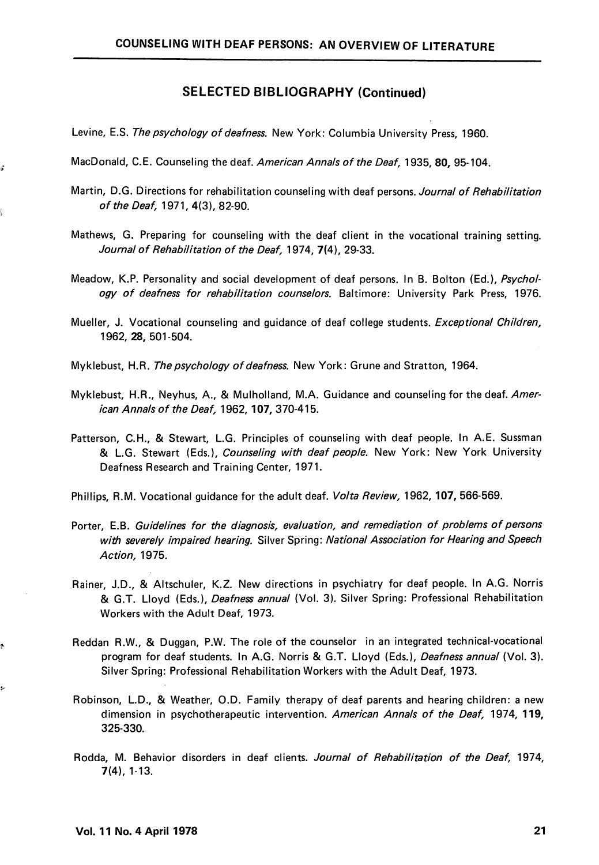#### SELECTED BIBLIOGRAPHY (Continued)

- Levine, E.S. The psychology of deafness. New York: Columbia University Press, 1960.
- MacDonald, C.E. Counseling the deaf. American Annals of the Deaf, 1935, 80, 95-104.
- Martin, D.G. Directions for rehabilitation counseling with deaf persons. Journal of Rehabilitation of the Deaf, 1971, 4(3), 82-90.
- Mathews, G. Preparing for counseling with the deaf client in the vocational training setting. Journal of Rehabilitation of the Deaf, 1974, 7(4), 29-33.
- Meadow, K.P. Personality and social development of deaf persons. In B. Bolton (Ed.), Psychology of deafness for rehabilitation counselors. Baltimore: University Park Press, 1976.
- Mueller, J. Vocational counseling and guidance of deaf college students. Exceptional Children, 1962, 28, 501-504.
- Myklebust, H.R. The psychology of deafness. New York: Grune and Stratton, 1964.
- Myklebust, H.R., Neyhus, A., & Mulholland, M.A. Guidance and counseling for the deaf. American Annals of the Deaf, 1962, 107, 370-415.
- Patterson, C.H., & Stewart, L.G. Principles of counseling with deaf people. In A.E. Sussman & L.G. Stewart (Eds.), Counseling with deaf people. New York: New York University Deafness Research and Training Center, 1971.
- Phillips, R.M. Vocational guidance for the adult deaf. Volta Review, 1962, 107, 566-569.
- Porter, E.B. Guidelines for the diagnosis, evaluation, and remediation of problems of persons with severely impaired hearing. Silver Spring: National Association for Hearing and Speech Action, 1975.
- Rainer, J.D., & Altschuler, K.Z. New directions in psychiatry for deaf people. In A.G. Norris & G.T. Lloyd (Eds.), Deafness annual (Vol. 3). Silver Spring: Professional Rehabilitation Workers with the Adult Deaf, 1973.
- Reddan R.W., & Duggan, P.W. The role of the counselor in an integrated technical-vocational program for deaf students. In A.G. Norris & G.T. Lloyd (Eds.), Deafness annual (Vol. 3). Silver Spring: Professional Rehabilitation Workers with the Adult Deaf, 1973.
- Robinson, L.D., & Weather, O.D. Family therapy of deaf parents and hearing children: a new dimension in psychotherapeutic intervention. American Annals of the Deaf, 1974, 119, 325-330.
- Rodda, M. Behavior disorders in deaf clients. Journal of Rehabilitation of the Deaf, 1974, 7(4), 1-13.

ś

رو